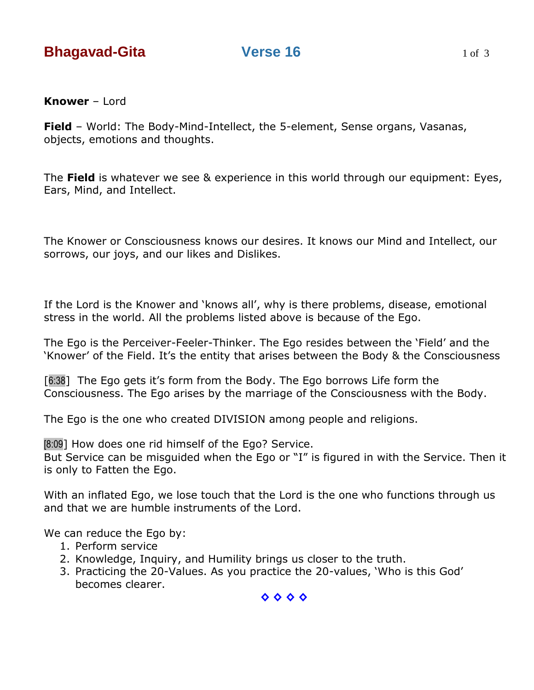**Field** – World: The Body-Mind-Intellect, the 5-element, Sense organs, Vasanas, objects, emotions and thoughts.

The **Field** is whatever we see & experience in this world through our equipment: Eyes, Ears, Mind, and Intellect.

The Knower or Consciousness knows our desires. It knows our Mind and Intellect, our sorrows, our joys, and our likes and Dislikes.

If the Lord is the Knower and 'knows all', why is there problems, disease, emotional stress in the world. All the problems listed above is because of the Ego.

The Ego is the Perceiver-Feeler-Thinker. The Ego resides between the "Field" and the "Knower" of the Field. It"s the entity that arises between the Body & the Consciousness

[6:38] The Ego gets it's form from the Body. The Ego borrows Life form the Consciousness. The Ego arises by the marriage of the Consciousness with the Body.

The Ego is the one who created DIVISION among people and religions.

[8:09] How does one rid himself of the Ego? Service.

But Service can be misguided when the Ego or "I" is figured in with the Service. Then it is only to Fatten the Ego.

With an inflated Ego, we lose touch that the Lord is the one who functions through us and that we are humble instruments of the Lord.

We can reduce the Ego by:

- 1. Perform service
- 2. Knowledge, Inquiry, and Humility brings us closer to the truth.
- 3. Practicing the 20-Values. As you practice the 20-values, "Who is this God" becomes clearer.

**◊ ◊ ◊ ◊**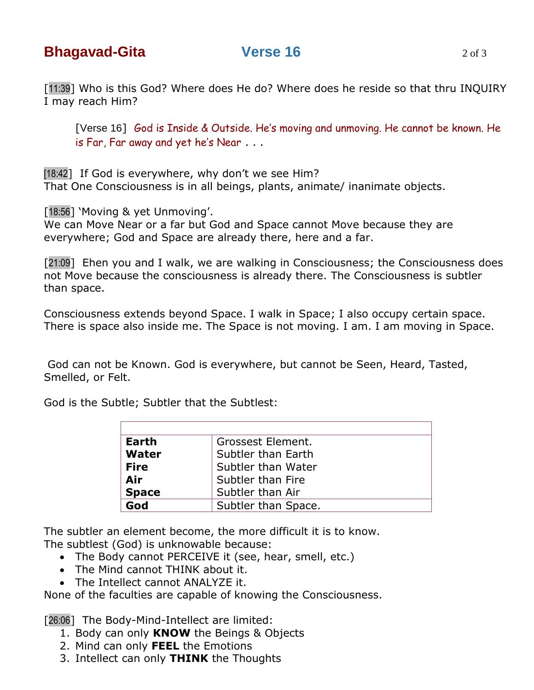[11:39] Who is this God? Where does He do? Where does he reside so that thru INQUIRY I may reach Him?

[Verse 16] God is Inside & Outside. He's moving and unmoving. He cannot be known. He is Far, Far away and yet he's Near . . .

[18:42] If God is everywhere, why don't we see Him? That One Consciousness is in all beings, plants, animate/ inanimate objects.

[18:56] 'Moving & yet Unmoving'.

We can Move Near or a far but God and Space cannot Move because they are everywhere; God and Space are already there, here and a far.

[21:09] Ehen you and I walk, we are walking in Consciousness; the Consciousness does not Move because the consciousness is already there. The Consciousness is subtler than space.

Consciousness extends beyond Space. I walk in Space; I also occupy certain space. There is space also inside me. The Space is not moving. I am. I am moving in Space.

God can not be Known. God is everywhere, but cannot be Seen, Heard, Tasted, Smelled, or Felt.

God is the Subtle; Subtler that the Subtlest:

| Earth        | Grossest Element.   |
|--------------|---------------------|
| Water        | Subtler than Earth  |
| <b>Fire</b>  | Subtler than Water  |
| Air          | Subtler than Fire   |
| <b>Space</b> | Subtler than Air    |
| God          | Subtler than Space. |

The subtler an element become, the more difficult it is to know.

The subtlest (God) is unknowable because:

- The Body cannot PERCEIVE it (see, hear, smell, etc.)
- The Mind cannot THINK about it.
- The Intellect cannot ANALYZE it.

None of the faculties are capable of knowing the Consciousness.

[26:06] The Body-Mind-Intellect are limited:

- 1. Body can only **KNOW** the Beings & Objects
- 2. Mind can only **FEEL** the Emotions
- 3. Intellect can only **THINK** the Thoughts